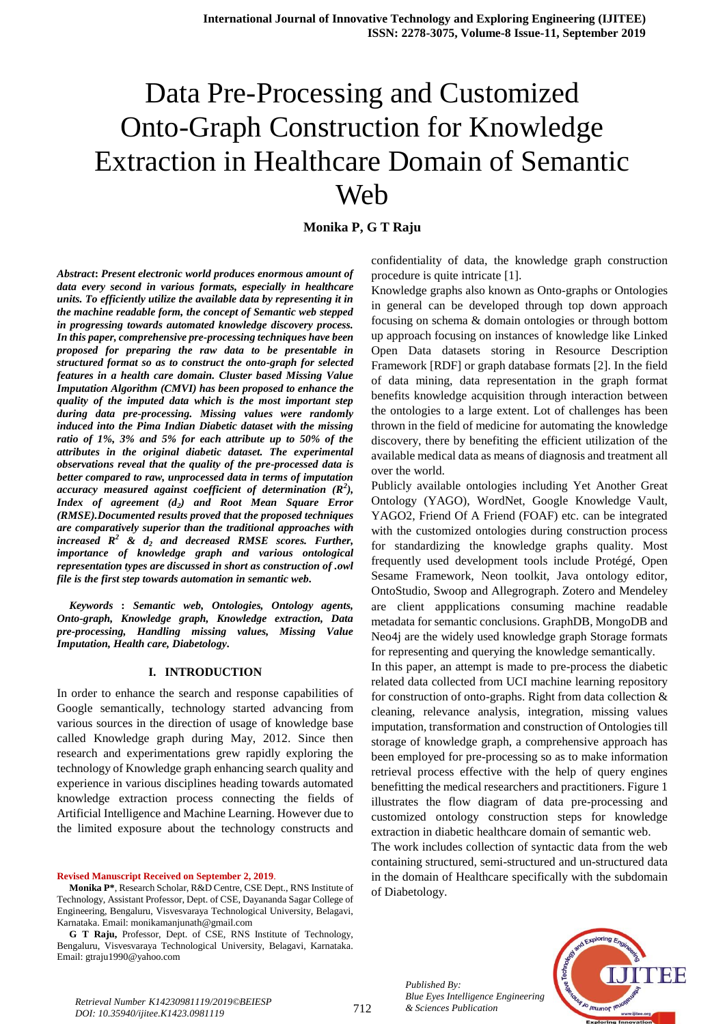**Monika P, G T Raju**

*Abstract***:** *Present electronic world produces enormous amount of data every second in various formats, especially in healthcare units. To efficiently utilize the available data by representing it in the machine readable form, the concept of Semantic web stepped in progressing towards automated knowledge discovery process. In this paper, comprehensive pre-processing techniques have been proposed for preparing the raw data to be presentable in structured format so as to construct the onto-graph for selected features in a health care domain. Cluster based Missing Value Imputation Algorithm (CMVI) has been proposed to enhance the quality of the imputed data which is the most important step during data pre-processing. Missing values were randomly induced into the Pima Indian Diabetic dataset with the missing ratio of 1%, 3% and 5% for each attribute up to 50% of the attributes in the original diabetic dataset. The experimental observations reveal that the quality of the pre-processed data is better compared to raw, unprocessed data in terms of imputation accuracy measured against coefficient of determination (R<sup>2</sup> ), Index of agreement (d<sup>2</sup> ) and Root Mean Square Error (RMSE).Documented results proved that the proposed techniques are comparatively superior than the traditional approaches with increased R<sup>2</sup> & d<sup>2</sup> and decreased RMSE scores. Further, importance of knowledge graph and various ontological representation types are discussed in short as construction of .owl file is the first step towards automation in semantic web.*

*Keywords* **:** *Semantic web, Ontologies, Ontology agents, Onto-graph, Knowledge graph, Knowledge extraction, Data pre-processing, Handling missing values, Missing Value Imputation, Health care, Diabetology.* 

#### **I. INTRODUCTION**

In order to enhance the search and response capabilities of Google semantically, technology started advancing from various sources in the direction of usage of knowledge base called Knowledge graph during May, 2012. Since then research and experimentations grew rapidly exploring the technology of Knowledge graph enhancing search quality and experience in various disciplines heading towards automated knowledge extraction process connecting the fields of Artificial Intelligence and Machine Learning. However due to the limited exposure about the technology constructs and

**Revised Manuscript Received on September 2, 2019**.

**G T Raju,** Professor, Dept. of CSE, RNS Institute of Technology, Bengaluru, Visvesvaraya Technological University, Belagavi, Karnataka. Email: gtraju1990@yahoo.com

confidentiality of data, the knowledge graph construction procedure is quite intricate [1].

Knowledge graphs also known as Onto-graphs or Ontologies in general can be developed through top down approach focusing on schema & domain ontologies or through bottom up approach focusing on instances of knowledge like Linked Open Data datasets storing in Resource Description Framework [RDF] or graph database formats [2]. In the field of data mining, data representation in the graph format benefits knowledge acquisition through interaction between the ontologies to a large extent. Lot of challenges has been thrown in the field of medicine for automating the knowledge discovery, there by benefiting the efficient utilization of the available medical data as means of diagnosis and treatment all over the world.

Publicly available ontologies including Yet Another Great Ontology (YAGO), WordNet, Google Knowledge Vault, YAGO2, Friend Of A Friend (FOAF) etc. can be integrated with the customized ontologies during construction process for standardizing the knowledge graphs quality. Most frequently used development tools include Protégé, Open Sesame Framework, Neon toolkit, Java ontology editor, OntoStudio, Swoop and Allegrograph. Zotero and Mendeley are client appplications consuming machine readable metadata for semantic conclusions. GraphDB, MongoDB and Neo4j are the widely used knowledge graph Storage formats for representing and querying the knowledge semantically.

In this paper, an attempt is made to pre-process the diabetic related data collected from UCI machine learning repository for construction of onto-graphs. Right from data collection & cleaning, relevance analysis, integration, missing values imputation, transformation and construction of Ontologies till storage of knowledge graph, a comprehensive approach has been employed for pre-processing so as to make information retrieval process effective with the help of query engines benefitting the medical researchers and practitioners. Figure 1 illustrates the flow diagram of data pre-processing and customized ontology construction steps for knowledge extraction in diabetic healthcare domain of semantic web.

The work includes collection of syntactic data from the web containing structured, semi-structured and un-structured data in the domain of Healthcare specifically with the subdomain of Diabetology.



*Blue Eyes Intelligence i*<br>*Retrieval Number K14230981119/2019©BEIESP*<br>712 *8 Sciences Publication DOI: 10.35940/ijitee.K1423.0981119*

*Published By:*

**Monika P\***, Research Scholar, R&D Centre, CSE Dept., RNS Institute of Technology, Assistant Professor, Dept. of CSE, Dayananda Sagar College of Engineering, Bengaluru, Visvesvaraya Technological University, Belagavi, Karnataka. Email: monikamanjunath@gmail.com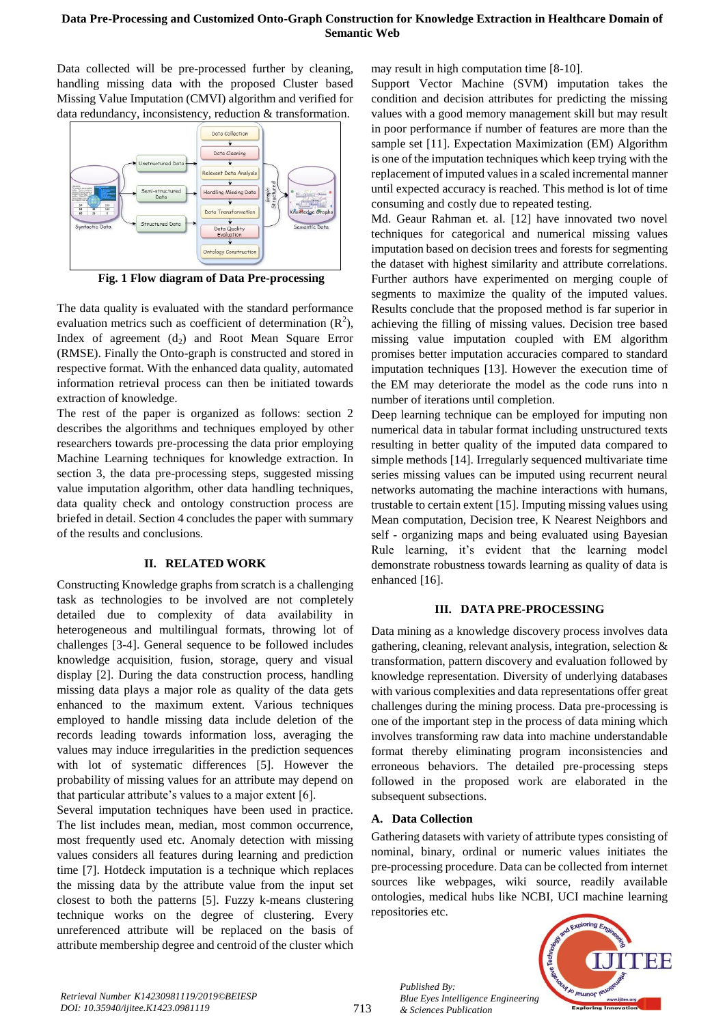Data collected will be pre-processed further by cleaning, handling missing data with the proposed Cluster based Missing Value Imputation (CMVI) algorithm and verified for data redundancy, inconsistency, reduction & transformation.



**Fig. 1 Flow diagram of Data Pre-processing**

The data quality is evaluated with the standard performance evaluation metrics such as coefficient of determination  $(R^2)$ , Index of agreement  $(d_2)$  and Root Mean Square Error (RMSE). Finally the Onto-graph is constructed and stored in respective format. With the enhanced data quality, automated information retrieval process can then be initiated towards extraction of knowledge.

The rest of the paper is organized as follows: section 2 describes the algorithms and techniques employed by other researchers towards pre-processing the data prior employing Machine Learning techniques for knowledge extraction. In section 3, the data pre-processing steps, suggested missing value imputation algorithm, other data handling techniques, data quality check and ontology construction process are briefed in detail. Section 4 concludes the paper with summary of the results and conclusions.

# **II. RELATED WORK**

Constructing Knowledge graphs from scratch is a challenging task as technologies to be involved are not completely detailed due to complexity of data availability in heterogeneous and multilingual formats, throwing lot of challenges [3-4]. General sequence to be followed includes knowledge acquisition, fusion, storage, query and visual display [2]. During the data construction process, handling missing data plays a major role as quality of the data gets enhanced to the maximum extent. Various techniques employed to handle missing data include deletion of the records leading towards information loss, averaging the values may induce irregularities in the prediction sequences with lot of systematic differences [5]. However the probability of missing values for an attribute may depend on that particular attribute's values to a major extent [6].

Several imputation techniques have been used in practice. The list includes mean, median, most common occurrence, most frequently used etc. Anomaly detection with missing values considers all features during learning and prediction time [7]. Hotdeck imputation is a technique which replaces the missing data by the attribute value from the input set closest to both the patterns [5]. Fuzzy k-means clustering technique works on the degree of clustering. Every unreferenced attribute will be replaced on the basis of attribute membership degree and centroid of the cluster which may result in high computation time [8-10].

Support Vector Machine (SVM) imputation takes the condition and decision attributes for predicting the missing values with a good memory management skill but may result in poor performance if number of features are more than the sample set [11]. Expectation Maximization (EM) Algorithm is one of the imputation techniques which keep trying with the replacement of imputed values in a scaled incremental manner until expected accuracy is reached. This method is lot of time consuming and costly due to repeated testing.

Md. Geaur Rahman et. al. [12] have innovated two novel techniques for categorical and numerical missing values imputation based on decision trees and forests for segmenting the dataset with highest similarity and attribute correlations. Further authors have experimented on merging couple of segments to maximize the quality of the imputed values. Results conclude that the proposed method is far superior in achieving the filling of missing values. Decision tree based missing value imputation coupled with EM algorithm promises better imputation accuracies compared to standard imputation techniques [13]. However the execution time of the EM may deteriorate the model as the code runs into n number of iterations until completion.

Deep learning technique can be employed for imputing non numerical data in tabular format including unstructured texts resulting in better quality of the imputed data compared to simple methods [14]. Irregularly sequenced multivariate time series missing values can be imputed using recurrent neural networks automating the machine interactions with humans, trustable to certain extent [15]. Imputing missing values using Mean computation, Decision tree, K Nearest Neighbors and self - organizing maps and being evaluated using Bayesian Rule learning, it's evident that the learning model demonstrate robustness towards learning as quality of data is enhanced [16].

# **III. DATA PRE-PROCESSING**

Data mining as a knowledge discovery process involves data gathering, cleaning, relevant analysis, integration, selection & transformation, pattern discovery and evaluation followed by knowledge representation. Diversity of underlying databases with various complexities and data representations offer great challenges during the mining process. Data pre-processing is one of the important step in the process of data mining which involves transforming raw data into machine understandable format thereby eliminating program inconsistencies and erroneous behaviors. The detailed pre-processing steps followed in the proposed work are elaborated in the subsequent subsections.

# **A. Data Collection**

*Published By:*

*& Sciences Publication* 

*Blue Eyes Intelligence Engineering* 

Gathering datasets with variety of attribute types consisting of nominal, binary, ordinal or numeric values initiates the pre-processing procedure. Data can be collected from internet sources like webpages, wiki source, readily available ontologies, medical hubs like NCBI, UCI machine learning repositories etc.

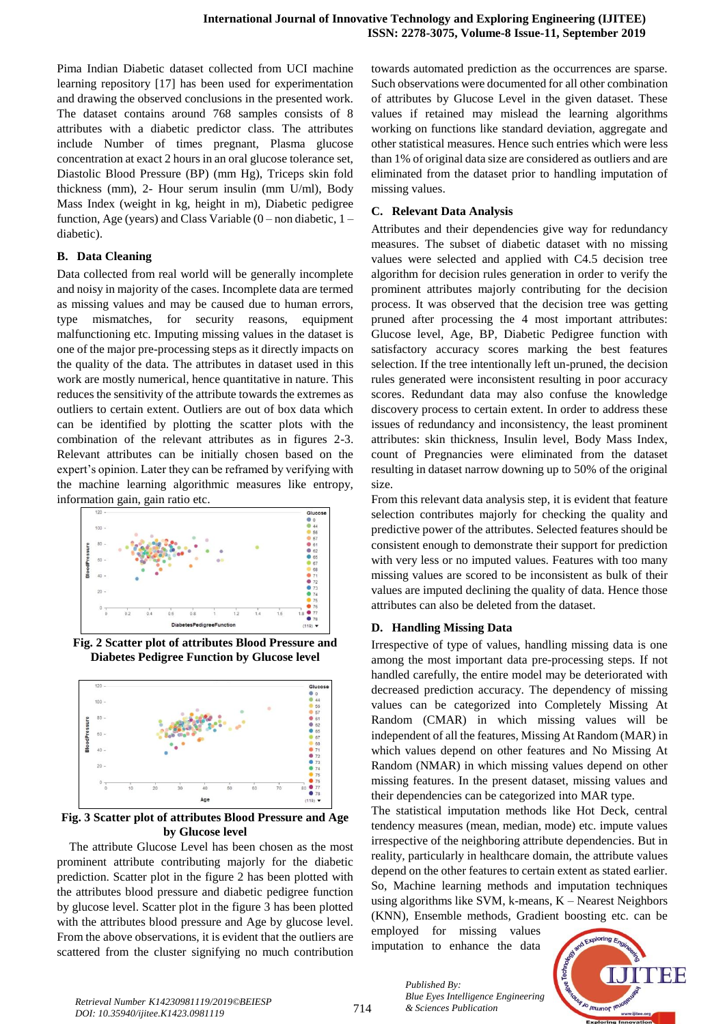Pima Indian Diabetic dataset collected from UCI machine learning repository [17] has been used for experimentation and drawing the observed conclusions in the presented work. The dataset contains around 768 samples consists of 8 attributes with a diabetic predictor class. The attributes include Number of times pregnant, Plasma glucose concentration at exact 2 hours in an oral glucose tolerance set, Diastolic Blood Pressure (BP) (mm Hg), Triceps skin fold thickness (mm), 2- Hour serum insulin (mm U/ml), Body Mass Index (weight in kg, height in m), Diabetic pedigree function, Age (years) and Class Variable  $(0 -$  non diabetic,  $1$ diabetic).

### **B. Data Cleaning**

Data collected from real world will be generally incomplete and noisy in majority of the cases. Incomplete data are termed as missing values and may be caused due to human errors, type mismatches, for security reasons, equipment malfunctioning etc. Imputing missing values in the dataset is one of the major pre-processing steps as it directly impacts on the quality of the data. The attributes in dataset used in this work are mostly numerical, hence quantitative in nature. This reduces the sensitivity of the attribute towards the extremes as outliers to certain extent. Outliers are out of box data which can be identified by plotting the scatter plots with the combination of the relevant attributes as in figures 2-3. Relevant attributes can be initially chosen based on the expert's opinion. Later they can be reframed by verifying with the machine learning algorithmic measures like entropy, information gain, gain ratio etc.



**Fig. 2 Scatter plot of attributes Blood Pressure and Diabetes Pedigree Function by Glucose level**



**Fig. 3 Scatter plot of attributes Blood Pressure and Age by Glucose level**

The attribute Glucose Level has been chosen as the most prominent attribute contributing majorly for the diabetic prediction. Scatter plot in the figure 2 has been plotted with the attributes blood pressure and diabetic pedigree function by glucose level. Scatter plot in the figure 3 has been plotted with the attributes blood pressure and Age by glucose level. From the above observations, it is evident that the outliers are scattered from the cluster signifying no much contribution towards automated prediction as the occurrences are sparse. Such observations were documented for all other combination of attributes by Glucose Level in the given dataset. These values if retained may mislead the learning algorithms working on functions like standard deviation, aggregate and other statistical measures. Hence such entries which were less than 1% of original data size are considered as outliers and are eliminated from the dataset prior to handling imputation of missing values.

## **C. Relevant Data Analysis**

Attributes and their dependencies give way for redundancy measures. The subset of diabetic dataset with no missing values were selected and applied with C4.5 decision tree algorithm for decision rules generation in order to verify the prominent attributes majorly contributing for the decision process. It was observed that the decision tree was getting pruned after processing the 4 most important attributes: Glucose level, Age, BP, Diabetic Pedigree function with satisfactory accuracy scores marking the best features selection. If the tree intentionally left un-pruned, the decision rules generated were inconsistent resulting in poor accuracy scores. Redundant data may also confuse the knowledge discovery process to certain extent. In order to address these issues of redundancy and inconsistency, the least prominent attributes: skin thickness, Insulin level, Body Mass Index, count of Pregnancies were eliminated from the dataset resulting in dataset narrow downing up to 50% of the original size.

From this relevant data analysis step, it is evident that feature selection contributes majorly for checking the quality and predictive power of the attributes. Selected features should be consistent enough to demonstrate their support for prediction with very less or no imputed values. Features with too many missing values are scored to be inconsistent as bulk of their values are imputed declining the quality of data. Hence those attributes can also be deleted from the dataset.

### **D. Handling Missing Data**

Irrespective of type of values, handling missing data is one among the most important data pre-processing steps. If not handled carefully, the entire model may be deteriorated with decreased prediction accuracy. The dependency of missing values can be categorized into Completely Missing At Random (CMAR) in which missing values will be independent of all the features, Missing At Random (MAR) in which values depend on other features and No Missing At Random (NMAR) in which missing values depend on other missing features. In the present dataset, missing values and their dependencies can be categorized into MAR type.

The statistical imputation methods like Hot Deck, central tendency measures (mean, median, mode) etc. impute values irrespective of the neighboring attribute dependencies. But in reality, particularly in healthcare domain, the attribute values depend on the other features to certain extent as stated earlier. So, Machine learning methods and imputation techniques using algorithms like SVM, k-means, K – Nearest Neighbors (KNN), Ensemble methods, Gradient boosting etc. can be

employed for missing values imputation to enhance the data

*Blue Eyes Intelligence Engineering* 

*Published By:*

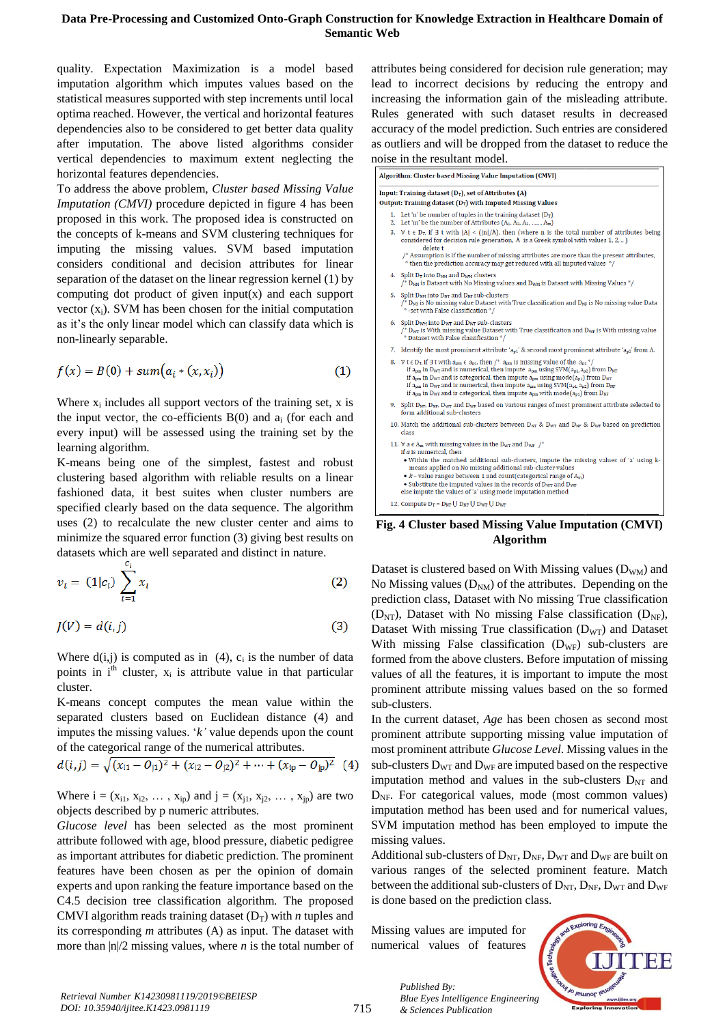quality. Expectation Maximization is a model based imputation algorithm which imputes values based on the statistical measures supported with step increments until local optima reached. However, the vertical and horizontal features dependencies also to be considered to get better data quality after imputation. The above listed algorithms consider vertical dependencies to maximum extent neglecting the horizontal features dependencies.

To address the above problem, *Cluster based Missing Value Imputation (CMVI)* procedure depicted in figure 4 has been proposed in this work. The proposed idea is constructed on the concepts of k-means and SVM clustering techniques for imputing the missing values. SVM based imputation considers conditional and decision attributes for linear separation of the dataset on the linear regression kernel (1) by computing dot product of given input(x) and each support vector  $(x_i)$ . SVM has been chosen for the initial computation as it's the only linear model which can classify data which is non-linearly separable.

$$
f(x) = B(0) + sum(a_i * (x, x_i))
$$
 (1)

Where  $x_i$  includes all support vectors of the training set,  $x$  is the input vector, the co-efficients  $B(0)$  and  $a_i$  (for each and every input) will be assessed using the training set by the learning algorithm.

K-means being one of the simplest, fastest and robust clustering based algorithm with reliable results on a linear fashioned data, it best suites when cluster numbers are specified clearly based on the data sequence. The algorithm uses (2) to recalculate the new cluster center and aims to minimize the squared error function (3) giving best results on datasets which are well separated and distinct in nature.

$$
v_i = (1|c_i) \sum_{i=1}^{c_i} x_i
$$
 (2)

$$
J(V) = d(i, j) \tag{3}
$$

Where  $d(i,j)$  is computed as in (4),  $c_i$  is the number of data points in  $i<sup>th</sup>$  cluster,  $x<sub>i</sub>$  is attribute value in that particular cluster.

K-means concept computes the mean value within the separated clusters based on Euclidean distance (4) and imputes the missing values. '*k'* value depends upon the count of the categorical range of the numerical attributes.

$$
d(i,j) = \sqrt{(x_{i1} - 0_{j1})^2 + (x_{i2} - 0_{j2})^2 + \dots + (x_{ip} - 0_{jp})^2}
$$
 (4)

Where  $i = (x_{i1}, x_{i2}, \dots, x_{ip})$  and  $j = (x_{i1}, x_{i2}, \dots, x_{ip})$  are two objects described by p numeric attributes.

*Glucose level* has been selected as the most prominent attribute followed with age, blood pressure, diabetic pedigree as important attributes for diabetic prediction. The prominent features have been chosen as per the opinion of domain experts and upon ranking the feature importance based on the C4.5 decision tree classification algorithm. The proposed CMVI algorithm reads training dataset  $(D_T)$  with *n* tuples and its corresponding *m* attributes (A) as input. The dataset with more than  $|n|/2$  missing values, where *n* is the total number of attributes being considered for decision rule generation; may lead to incorrect decisions by reducing the entropy and increasing the information gain of the misleading attribute. Rules generated with such dataset results in decreased accuracy of the model prediction. Such entries are considered as outliers and will be dropped from the dataset to reduce the noise in the resultant model.

| Algorithm: Cluster based Missing Value Imputation (CMVI)                                                                                                                                                                                                                                                                                                                                                                                                                                                                                                                                                                                 |
|------------------------------------------------------------------------------------------------------------------------------------------------------------------------------------------------------------------------------------------------------------------------------------------------------------------------------------------------------------------------------------------------------------------------------------------------------------------------------------------------------------------------------------------------------------------------------------------------------------------------------------------|
| Input: Training dataset $(D_T)$ , set of Attributes $(A)$<br>Output: Training dataset $(D_T)$ with Imputed Missing Values                                                                                                                                                                                                                                                                                                                                                                                                                                                                                                                |
|                                                                                                                                                                                                                                                                                                                                                                                                                                                                                                                                                                                                                                          |
| 1. Let 'n' be number of tuples in the training dataset $(D_T)$<br>2. Let 'm' be the number of Attributes $(A_1, A_2, A_3, \ldots, A_m)$                                                                                                                                                                                                                                                                                                                                                                                                                                                                                                  |
| 3. $\forall$ t $\in$ D <sub>T</sub> , if $\exists$ t with $ A $ < $( n /\lambda)$ , then (where n is the total number of attributes being<br>considered for decision rule generation, $\lambda$ is a Greek symbol with values 1, 2, )<br>delete t                                                                                                                                                                                                                                                                                                                                                                                        |
| $/*$ Assumption is if the number of missing attributes are more than the present attributes,<br>* then the prediction accuracy may get reduced with all imputed values */                                                                                                                                                                                                                                                                                                                                                                                                                                                                |
| 4. Split $D_T$ into $D_{NM}$ and $D_{WM}$ clusters<br>/* $D_{NM}$ is Dataset with No Missing values and $D_{WM}$ is Dataset with Missing Values */                                                                                                                                                                                                                                                                                                                                                                                                                                                                                       |
| 5. Split D <sub>NM</sub> into D <sub>NT</sub> and D <sub>NF</sub> sub-clusters<br>$\frac{1}{2}$ D <sub>NT</sub> is No missing value Dataset with True classification and D <sub>NF</sub> is No missing value Data<br>* -set with False classification */                                                                                                                                                                                                                                                                                                                                                                                 |
| 6. Split D <sub>WM</sub> into D <sub>WT</sub> and D <sub>WF</sub> sub-clusters<br>$\frac{1}{2}$ D <sub>WT</sub> is With missing value Dataset with True classification and D <sub>WF</sub> is With missing value<br>* Dataset with False classification */                                                                                                                                                                                                                                                                                                                                                                               |
| 7. Identify the most prominent attribute ' $a_{p1}$ ' & second most prominent attribute ' $a_{p2}$ ' from A.                                                                                                                                                                                                                                                                                                                                                                                                                                                                                                                             |
| 8. $\forall$ t $\in$ $D_T$ , if $\exists$ t with $a_{pm} \in a_{p1}$ , then $\wedge^*$ $a_{pm}$ is missing value of the $a_{p1}$ <sup>*</sup> /<br>if $a_{pm}$ in $D_{WT}$ and is numerical, then impute $a_{pm}$ using SVM( $a_{p1}$ , $a_{p2}$ ) from $D_{NT}$<br>if $a_{pm}$ in D <sub>WT</sub> and is categorical, then impute $a_{pm}$ using mode $(a_{p1})$ from D <sub>NT</sub><br>if $a_{pm}$ in D <sub>WF</sub> and is numerical, then impute $a_{pm}$ using SVM( $a_{p1}, a_{p2}$ ) from D <sub>NF</sub><br>if $a_{pm}$ in D <sub>WF</sub> and is categorical, then impute $a_{pm}$ with mode( $a_{p1}$ ) from D <sub>NF</sub> |
| 9. Split $D_{NT}$ , $D_{NF}$ , $D_{WT}$ and $D_{WF}$ based on various ranges of most prominent attribute selected to<br>form additional sub-clusters                                                                                                                                                                                                                                                                                                                                                                                                                                                                                     |
| 10. Match the additional sub-clusters between $D_{NT}$ & $D_{WT}$ and $D_{NF}$ & $D_{WF}$ based on prediction<br>class                                                                                                                                                                                                                                                                                                                                                                                                                                                                                                                   |
| 11. $\forall$ a $\in$ A <sub>m</sub> with missing values in the D <sub>WT</sub> and D <sub>WF</sub> /*<br>if $a$ is numerical, then<br>• Within the matched additional sub-clusters, impute the missing values of 'a' using k-<br>means applied on No missing additional sub-cluster values<br>• $k$ – value ranges between 1 and count(categorical range of $A_m$ )<br>• Substitute the imputed values in the records of D <sub>WT</sub> and D <sub>WF</sub><br>else impute the values of 'a' using mode imputation method                                                                                                              |
| 12. Compute $D_T = D_{NT} \cup D_{NF} \cup D_{WT} \cup D_{WF}$                                                                                                                                                                                                                                                                                                                                                                                                                                                                                                                                                                           |

**Fig. 4 Cluster based Missing Value Imputation (CMVI) Algorithm**

Dataset is clustered based on With Missing values  $(D_{WM})$  and No Missing values  $(D<sub>NM</sub>)$  of the attributes. Depending on the prediction class, Dataset with No missing True classification  $(D_{\text{NT}})$ , Dataset with No missing False classification  $(D_{\text{NF}})$ , Dataset With missing True classification  $(D_{\text{WT}})$  and Dataset With missing False classification  $(D_{WF})$  sub-clusters are formed from the above clusters. Before imputation of missing values of all the features, it is important to impute the most prominent attribute missing values based on the so formed sub-clusters.

In the current dataset, *Age* has been chosen as second most prominent attribute supporting missing value imputation of most prominent attribute *Glucose Level*. Missing values in the sub-clusters  $D_{WT}$  and  $D_{WF}$  are imputed based on the respective imputation method and values in the sub-clusters  $D_{NT}$  and  $D<sub>NE</sub>$ . For categorical values, mode (most common values) imputation method has been used and for numerical values, SVM imputation method has been employed to impute the missing values.

Additional sub-clusters of  $D_{NT}$ ,  $D_{NF}$ ,  $D_{WT}$  and  $D_{WF}$  are built on various ranges of the selected prominent feature. Match between the additional sub-clusters of  $D_{NT}$ ,  $D_{NF}$ ,  $D_{WT}$  and  $D_{WF}$ is done based on the prediction class.

Missing values are imputed for numerical values of features



715

*Published By: Blue Eyes Intelligence Engineering & Sciences Publication*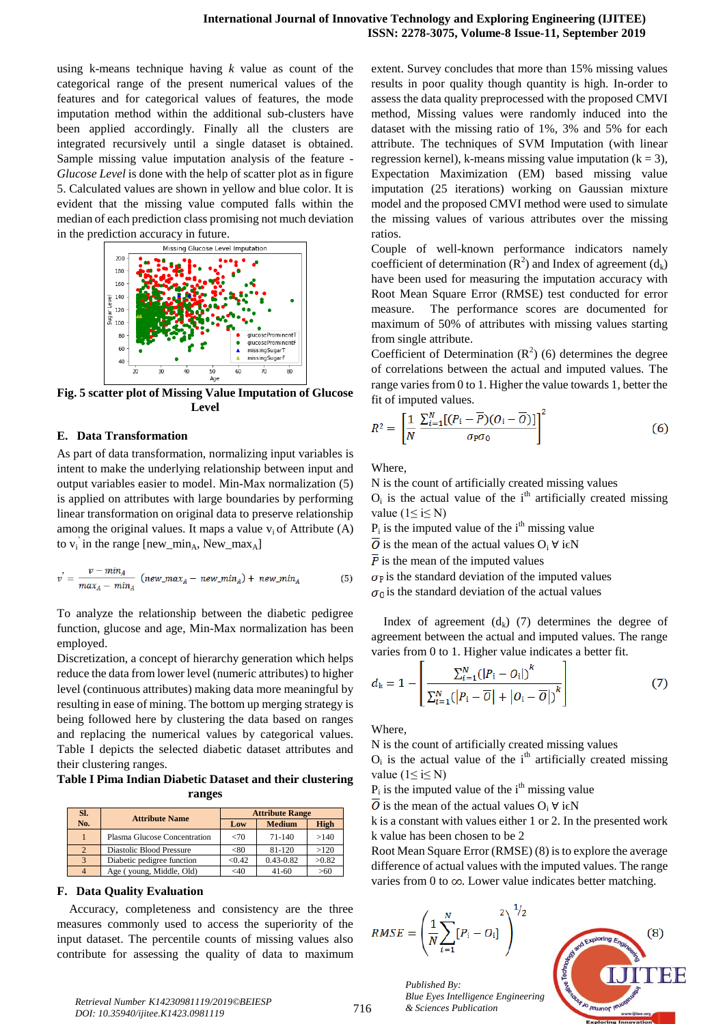using k-means technique having *k* value as count of the categorical range of the present numerical values of the features and for categorical values of features, the mode imputation method within the additional sub-clusters have been applied accordingly. Finally all the clusters are integrated recursively until a single dataset is obtained. Sample missing value imputation analysis of the feature - *Glucose Level* is done with the help of scatter plot as in figure 5. Calculated values are shown in yellow and blue color. It is evident that the missing value computed falls within the median of each prediction class promising not much deviation in the prediction accuracy in future.



**Fig. 5 scatter plot of Missing Value Imputation of Glucose Level**

#### **E. Data Transformation**

As part of data transformation, normalizing input variables is intent to make the underlying relationship between input and output variables easier to model. Min-Max normalization (5) is applied on attributes with large boundaries by performing linear transformation on original data to preserve relationship among the original values. It maps a value  $v_i$  of Attribute (A) to  $v_i$  in the range [new\_min<sub>A</sub>, New\_max<sub>A</sub>]

$$
v' = \frac{v - min_A}{max_A - min_A} \quad (new\_max_A - new\_min_A) + new\_min_A \tag{5}
$$

To analyze the relationship between the diabetic pedigree function, glucose and age, Min-Max normalization has been employed.

Discretization, a concept of hierarchy generation which helps reduce the data from lower level (numeric attributes) to higher level (continuous attributes) making data more meaningful by resulting in ease of mining. The bottom up merging strategy is being followed here by clustering the data based on ranges and replacing the numerical values by categorical values. Table I depicts the selected diabetic dataset attributes and their clustering ranges.

**Table I Pima Indian Diabetic Dataset and their clustering ranges**

| SI.            | <b>Attribute Name</b>        |         | <b>Attribute Range</b> |             |
|----------------|------------------------------|---------|------------------------|-------------|
| No.            |                              | Low     | <b>Medium</b>          | <b>High</b> |
|                | Plasma Glucose Concentration | ${<}70$ | $71 - 140$             | >140        |
| $\overline{2}$ | Diastolic Blood Pressure     | < 80    | $81 - 120$             | >120        |
| $\mathcal{R}$  | Diabetic pedigree function   | < 0.42  | $0.43 - 0.82$          | >0.82       |
|                | Age (young, Middle, Old)     | $<$ 40  | $41 - 60$              | >60         |

#### **F. Data Quality Evaluation**

Accuracy, completeness and consistency are the three measures commonly used to access the superiority of the input dataset. The percentile counts of missing values also contribute for assessing the quality of data to maximum

extent. Survey concludes that more than 15% missing values results in poor quality though quantity is high. In-order to assess the data quality preprocessed with the proposed CMVI method, Missing values were randomly induced into the dataset with the missing ratio of 1%, 3% and 5% for each attribute. The techniques of SVM Imputation (with linear regression kernel), k-means missing value imputation  $(k = 3)$ , Expectation Maximization (EM) based missing value imputation (25 iterations) working on Gaussian mixture model and the proposed CMVI method were used to simulate the missing values of various attributes over the missing ratios.

Couple of well-known performance indicators namely coefficient of determination  $(R^2)$  and Index of agreement  $(d_k)$ have been used for measuring the imputation accuracy with Root Mean Square Error (RMSE) test conducted for error measure. The performance scores are documented for maximum of 50% of attributes with missing values starting from single attribute.

Coefficient of Determination  $(R^2)$  (6) determines the degree of correlations between the actual and imputed values. The range varies from 0 to 1. Higher the value towards 1, better the fit of imputed values.

$$
R^2 = \left[\frac{1}{N} \frac{\sum_{i=1}^{N} [(P_i - \overline{P})(O_i - \overline{O})]}{\sigma_{\overline{P}} \sigma_0}\right]^2
$$
 (6)

**Where** 

N is the count of artificially created missing values  $O_i$  is the actual value of the i<sup>th</sup> artificially created missing value ( $1 \le i \le N$ )

 $P_i$  is the imputed value of the i<sup>th</sup> missing value

 $\overline{0}$  is the mean of the actual values O<sub>i</sub> ∀ i∈N

 $\overline{P}$  is the mean of the imputed values

 $\sigma_{\rm P}$  is the standard deviation of the imputed values  $\sigma_0$  is the standard deviation of the actual values

Index of agreement  $(d_k)$  (7) determines the degree of agreement between the actual and imputed values. The range varies from 0 to 1. Higher value indicates a better fit.

$$
d_{k} = 1 - \left[ \frac{\sum_{i=1}^{N} (|P_{i} - O_{i}|)^{k}}{\sum_{i=1}^{N} (|P_{i} - \overline{O}| + |O_{i} - \overline{O}|)^{k}} \right]
$$
(7)

Where,

N is the count of artificially created missing values

 $O_i$  is the actual value of the i<sup>th</sup> artificially created missing value ( $1 \le i \le N$ )

 $P_i$  is the imputed value of the i<sup>th</sup> missing value

 $\overline{0}$  is the mean of the actual values O<sub>i</sub>  $\forall$  i $\in$ N

k is a constant with values either 1 or 2. In the presented work k value has been chosen to be 2

Root Mean Square Error (RMSE) (8) is to explore the average difference of actual values with the imputed values. The range varies from 0 to  $\infty$ . Lower value indicates better matching.

$$
RMSE = \left(\frac{1}{N} \sum_{i=1}^{N} [P_i - O_i] \right)^{1/2}
$$



*Published By: Blue Eyes Intelligence Engineering*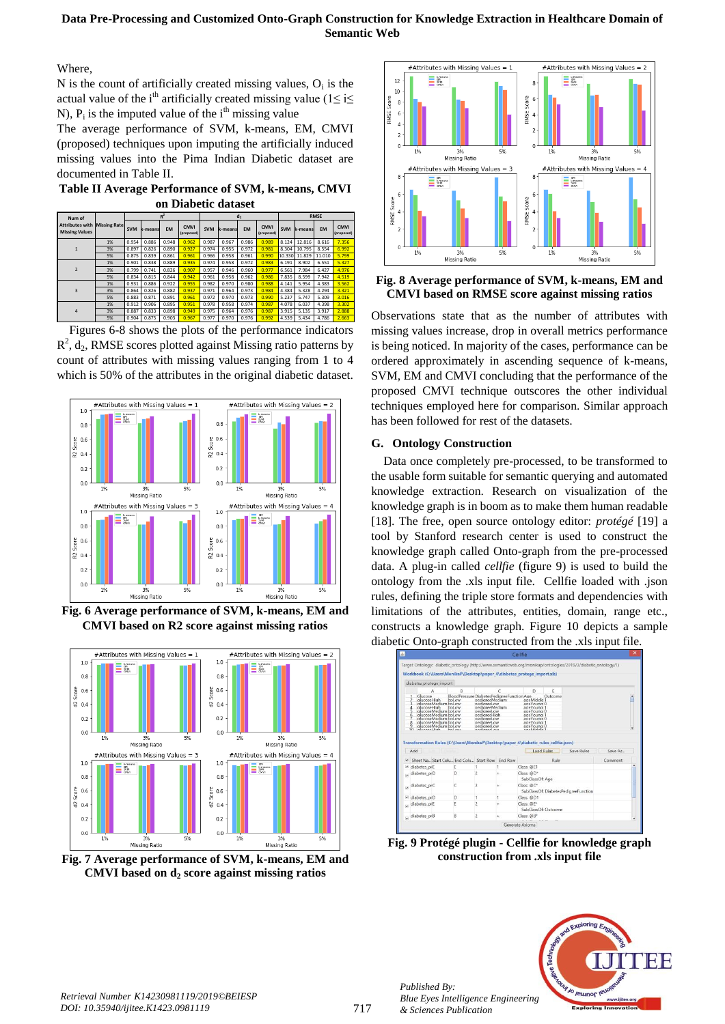Where,

 $N$  is the count of artificially created missing values,  $O_i$  is the actual value of the i<sup>th</sup> artificially created missing value (1≤ i≤ N),  $P_i$  is the imputed value of the i<sup>th</sup> missing value

The average performance of SVM, k-means, EM, CMVI (proposed) techniques upon imputing the artificially induced missing values into the Pima Indian Diabetic dataset are documented in Table II.

**Table II Average Performance of SVM, k-means, CMVI on Diabetic dataset**

| Num of                                          |                     |            |         | $R^2$     |                           |            |         | d,        |                           |            |         | <b>RMSE</b> |                           |
|-------------------------------------------------|---------------------|------------|---------|-----------|---------------------------|------------|---------|-----------|---------------------------|------------|---------|-------------|---------------------------|
| <b>Attributes with</b><br><b>Missing Values</b> | <b>Missing Rate</b> | <b>SVM</b> | k-means | <b>EM</b> | <b>CMVI</b><br>(proposed) | <b>SVM</b> | k-means | <b>EM</b> | <b>CMVI</b><br>(proposed) | <b>SVM</b> | k-means | <b>EM</b>   | <b>CMVI</b><br>(proposed) |
|                                                 | 1%                  | 0.954      | 0.886   | 0.948     | 0.962                     | 0.987      | 0.967   | 0.986     | 0.989                     | 8.124      | 12.816  | 8.616       | 7.356                     |
|                                                 | 3%                  | 0.897      | 0.826   | 0.890     | 0.927                     | 0.974      | 0.955   | 0.972     | 0.981                     | 8.304      | 10.795  | 8.554       | 6.992                     |
|                                                 | 5%                  | 0.875      | 0.839   | 0.861     | 0.961                     | 0.966      | 0.958   | 0.961     | 0.990                     | 10.330     | 11.829  | 11.010      | 5.799                     |
|                                                 | 1%                  | 0.901      | 0.838   | 0.889     | 0.935                     | 0.974      | 0.958   | 0.972     | 0.983                     | 6.191      | 8.902   | 6.551       | 5.327                     |
| $\overline{\phantom{a}}$                        | 3%                  | 0.799      | 0.741   | 0.826     | 0.907                     | 0.957      | 0.946   | 0.960     | 0.977                     | 6.561      | 7.984   | 6.427       | 4.976                     |
|                                                 | 5%                  | 0.834      | 0.815   | 0.844     | 0.942                     | 0.961      | 0.958   | 0.962     | 0.986                     | 7.835      | 8.599   | 7.942       | 4.519                     |
|                                                 | 1%                  | 0.931      | 0.886   | 0.922     | 0.955                     | 0.982      | 0.970   | 0.980     | 0.988                     | 4.141      | 5.954   | 4.383       | 3.562                     |
| $\overline{\mathbf{3}}$                         | 3%                  | 0.864      | 0.826   | 0.882     | 0.937                     | 0.971      | 0.964   | 0.973     | 0.984                     | 4.384      | 5.328   | 4.294       | 3.321                     |
|                                                 | 5%                  | 0.883      | 0.871   | 0.891     | 0.961                     | 0.972      | 0.970   | 0.973     | 0.990                     | 5.237      | 5.747   | 5.309       | 3.016                     |
|                                                 | 1%                  | 0.912      | 0.906   | 0.895     | 0.951                     | 0.978      | 0.958   | 0.974     | 0.987                     | 4.078      | 6.037   | 4.398       | 3.302                     |
| $\Delta$                                        | 3%                  | 0.887      | 0.833   | 0.898     | 0.949                     | 0.975      | 0.964   | 0.976     | 0.987                     | 3.915      | 5.135   | 3.917       | 2.888                     |
|                                                 | 5%                  | 0.904      | 0.875   | 0.903     | 0.967                     | 0.977      | 0.970   | 0.976     | 0.992                     | 4.539      | 5.434   | 4.786       | 2.663                     |

Figures 6-8 shows the plots of the performance indicators  $R^2$ ,  $d_2$ , RMSE scores plotted against Missing ratio patterns by count of attributes with missing values ranging from 1 to 4 which is 50% of the attributes in the original diabetic dataset.



**Fig. 6 Average performance of SVM, k-means, EM and CMVI based on R2 score against missing ratios**



**Fig. 7 Average performance of SVM, k-means, EM and CMVI based on d<sup>2</sup> score against missing ratios** 



**Fig. 8 Average performance of SVM, k-means, EM and CMVI based on RMSE score against missing ratios** 

Observations state that as the number of attributes with missing values increase, drop in overall metrics performance is being noticed. In majority of the cases, performance can be ordered approximately in ascending sequence of k-means, SVM, EM and CMVI concluding that the performance of the proposed CMVI technique outscores the other individual techniques employed here for comparison. Similar approach has been followed for rest of the datasets.

# **G. Ontology Construction**

Data once completely pre-processed, to be transformed to the usable form suitable for semantic querying and automated knowledge extraction. Research on visualization of the knowledge graph is in boom as to make them human readable [18]. The free, open source ontology editor: *protégé* [19] a tool by Stanford research center is used to construct the knowledge graph called Onto-graph from the pre-processed data. A plug-in called *cellfie* (figure 9) is used to build the ontology from the .xls input file. Cellfie loaded with .json rules, defining the triple store formats and dependencies with limitations of the attributes, entities, domain, range etc., constructs a knowledge graph. Figure 10 depicts a sample diabetic Onto-graph constructed from the .xls input file.

|   | Workbook (C:\Users\MonikaP\Desktop\paper_4\diabetes_protege_import.xls) |                                                                                                                                         |                                                                |                                                                                                                               |                                                                                                                    |         |                                      |         |  |
|---|-------------------------------------------------------------------------|-----------------------------------------------------------------------------------------------------------------------------------------|----------------------------------------------------------------|-------------------------------------------------------------------------------------------------------------------------------|--------------------------------------------------------------------------------------------------------------------|---------|--------------------------------------|---------|--|
|   | diabetes protege import                                                 |                                                                                                                                         |                                                                |                                                                                                                               |                                                                                                                    |         |                                      |         |  |
|   |                                                                         | Δ                                                                                                                                       | B                                                              |                                                                                                                               | n.                                                                                                                 | E       |                                      |         |  |
|   | Glucose<br>glucoseHigh<br>alucoseHigh<br>$\mathsf{R}$<br>$\frac{9}{10}$ | alucoseMedium boLow<br>alucoseMedium bol ow<br>alucoseMedium boLow<br>alucoseMedium boLow<br>glucoseMedium bpLow<br>glucoseMedium boLow | BloodPressure DiabetesPedigreeFunction Age<br>bol ow<br>hnl ow | nedigreeMedium<br>nedigreel ow<br>nedigreeMedium<br>pedigreel ow<br>pedigreeHigh<br>pediareeLow<br>pediareeLow<br>pediareeLow | ageMiddle <sup>1</sup><br>ageYoung 0<br>ageYoung<br>ageYoung 0<br>ageYoung<br>ageYoung C<br>ageYoung<br>ageYoung 0 | Outcome |                                      |         |  |
|   |                                                                         |                                                                                                                                         |                                                                |                                                                                                                               | Transformation Rules (C:\Users\MonikaP\Desktop\paper 4\diabetic rules cellfie.json)                                |         |                                      |         |  |
|   | Add                                                                     |                                                                                                                                         |                                                                |                                                                                                                               | <b>Load Rules</b>                                                                                                  |         | Save Rules                           | Save As |  |
|   |                                                                         |                                                                                                                                         | Sheet Na., Start Colu., End Colu., Start Row End Row           |                                                                                                                               |                                                                                                                    | Rule    |                                      | Comment |  |
|   | v diabetes prE                                                          |                                                                                                                                         | Ë                                                              |                                                                                                                               | Class: @E1                                                                                                         |         |                                      |         |  |
|   | diabetes prD                                                            |                                                                                                                                         | D                                                              | $\overline{c}$                                                                                                                | Class: @D*<br>SubClassOf: Age                                                                                      |         |                                      |         |  |
|   | diabetes prC                                                            |                                                                                                                                         | C                                                              | $\overline{a}$                                                                                                                | Class: @C*                                                                                                         |         | SubClassOf: DiabetesPedigreeFunction |         |  |
|   | diabetes prD                                                            |                                                                                                                                         | D                                                              | ٦                                                                                                                             | Class: @D1                                                                                                         |         |                                      |         |  |
| × | diabetes prE                                                            |                                                                                                                                         | Ë                                                              | 2                                                                                                                             | Class: @E*<br>SubClassOf: Outcome                                                                                  |         |                                      |         |  |

**Fig. 9 Protégé plugin - Cellfie for knowledge graph construction from .xls input file**



*Published By:*

*& Sciences Publication*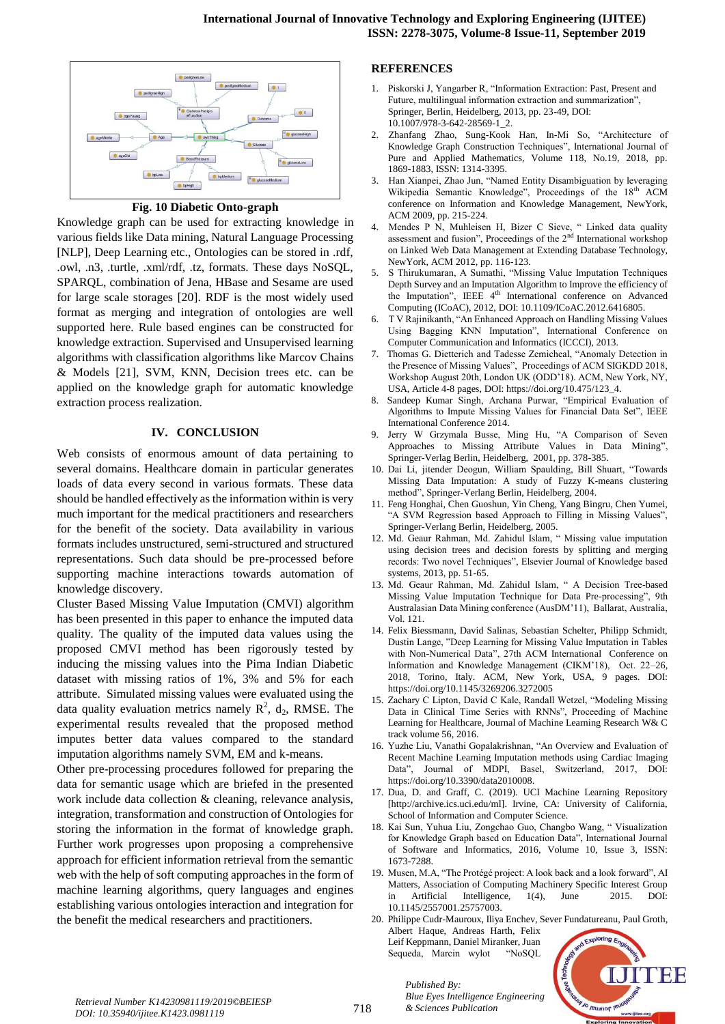

**Fig. 10 Diabetic Onto-graph**

Knowledge graph can be used for extracting knowledge in various fields like Data mining, Natural Language Processing [NLP], Deep Learning etc., Ontologies can be stored in .rdf, .owl, .n3, .turtle, .xml/rdf, .tz, formats. These days NoSQL, SPARQL, combination of Jena, HBase and Sesame are used for large scale storages [20]. RDF is the most widely used format as merging and integration of ontologies are well supported here. Rule based engines can be constructed for knowledge extraction. Supervised and Unsupervised learning algorithms with classification algorithms like Marcov Chains & Models [21], SVM, KNN, Decision trees etc. can be applied on the knowledge graph for automatic knowledge extraction process realization.

#### **IV. CONCLUSION**

Web consists of enormous amount of data pertaining to several domains. Healthcare domain in particular generates loads of data every second in various formats. These data should be handled effectively as the information within is very much important for the medical practitioners and researchers for the benefit of the society. Data availability in various formats includes unstructured, semi-structured and structured representations. Such data should be pre-processed before supporting machine interactions towards automation of knowledge discovery.

Cluster Based Missing Value Imputation (CMVI) algorithm has been presented in this paper to enhance the imputed data quality. The quality of the imputed data values using the proposed CMVI method has been rigorously tested by inducing the missing values into the Pima Indian Diabetic dataset with missing ratios of 1%, 3% and 5% for each attribute. Simulated missing values were evaluated using the data quality evaluation metrics namely  $R^2$ ,  $d_2$ , RMSE. The experimental results revealed that the proposed method imputes better data values compared to the standard imputation algorithms namely SVM, EM and k-means.

Other pre-processing procedures followed for preparing the data for semantic usage which are briefed in the presented work include data collection & cleaning, relevance analysis, integration, transformation and construction of Ontologies for storing the information in the format of knowledge graph. Further work progresses upon proposing a comprehensive approach for efficient information retrieval from the semantic web with the help of soft computing approaches in the form of machine learning algorithms, query languages and engines establishing various ontologies interaction and integration for the benefit the medical researchers and practitioners.

#### **REFERENCES**

- 1. Piskorski J, Yangarber R, "Information Extraction: Past, Present and Future, multilingual information extraction and summarization", Springer, Berlin, Heidelberg, 2013, pp. 23-49, DOI: 10.1007/978-3-642-28569-1\_2.
- 2. Zhanfang Zhao, Sung-Kook Han, In-Mi So, "Architecture of Knowledge Graph Construction Techniques", International Journal of Pure and Applied Mathematics, Volume 118, No.19, 2018, pp. 1869-1883, ISSN: 1314-3395.
- 3. Han Xianpei, Zhao Jun, "Named Entity Disambiguation by leveraging Wikipedia Semantic Knowledge", Proceedings of the 18<sup>th</sup> ACM conference on Information and Knowledge Management, NewYork, ACM 2009, pp. 215-224.
- 4. Mendes P N, Muhleisen H, Bizer C Sieve, " Linked data quality assessment and fusion", Proceedings of the 2<sup>nd</sup> International workshop on Linked Web Data Management at Extending Database Technology, NewYork, ACM 2012, pp. 116-123.
- 5. S Thirukumaran, A Sumathi, "Missing Value Imputation Techniques Depth Survey and an Imputation Algorithm to Improve the efficiency of the Imputation", IEEE  $4<sup>th</sup>$  International conference on Advanced Computing (ICoAC), 2012, DOI: 10.1109/ICoAC.2012.6416805.
- 6. T V Rajinikanth, "An Enhanced Approach on Handling Missing Values Using Bagging KNN Imputation", International Conference on Computer Communication and Informatics (ICCCI), 2013.
- 7. Thomas G. Dietterich and Tadesse Zemicheal, "Anomaly Detection in the Presence of Missing Values", Proceedings of ACM SIGKDD 2018, Workshop August 20th, London UK (ODD'18). ACM, New York, NY, USA, Article 4-8 pages, DOI: https://doi.org/10.475/123\_4.
- 8. Sandeep Kumar Singh, Archana Purwar, "Empirical Evaluation of Algorithms to Impute Missing Values for Financial Data Set", IEEE International Conference 2014.
- 9. Jerry W Grzymala Busse, Ming Hu, "A Comparison of Seven Approaches to Missing Attribute Values in Data Mining", Springer-Verlag Berlin, Heidelberg, 2001, pp. 378-385.
- 10. Dai Li, jitender Deogun, William Spaulding, Bill Shuart, "Towards Missing Data Imputation: A study of Fuzzy K-means clustering method", Springer-Verlang Berlin, Heidelberg, 2004.
- 11. Feng Honghai, Chen Guoshun, Yin Cheng, Yang Bingru, Chen Yumei, "A SVM Regression based Approach to Filling in Missing Values", Springer-Verlang Berlin, Heidelberg, 2005.
- 12. Md. Geaur Rahman, Md. Zahidul Islam, " Missing value imputation using decision trees and decision forests by splitting and merging records: Two novel Techniques", Elsevier Journal of Knowledge based systems, 2013, pp. 51-65.
- 13. Md. Geaur Rahman, Md. Zahidul Islam, " A Decision Tree-based Missing Value Imputation Technique for Data Pre-processing", 9th Australasian Data Mining conference (AusDM'11), Ballarat, Australia, Vol. 121.
- 14. Felix Biessmann, David Salinas, Sebastian Schelter, Philipp Schmidt, Dustin Lange, "Deep Learning for Missing Value Imputation in Tables with Non-Numerical Data", 27th ACM International Conference on Information and Knowledge Management (CIKM'18), Oct. 22–26, 2018, Torino, Italy. ACM, New York, USA, 9 pages. DOI: https://doi.org/10.1145/3269206.3272005
- 15. Zachary C Lipton, David C Kale, Randall Wetzel, "Modeling Missing Data in Clinical Time Series with RNNs", Proceeding of Machine Learning for Healthcare, Journal of Machine Learning Research W& C track volume 56, 2016.
- 16. Yuzhe Liu, Vanathi Gopalakrishnan, "An Overview and Evaluation of Recent Machine Learning Imputation methods using Cardiac Imaging Data", Journal of MDPI, Basel, Switzerland, 2017, DOI: https://doi.org/10.3390/data2010008.
- 17. Dua, D. and Graff, C. (2019). UCI Machine Learning Repository [http://archive.ics.uci.edu/ml]. Irvine, CA: University of California, School of Information and Computer Science.
- 18. Kai Sun, Yuhua Liu, Zongchao Guo, Changbo Wang, " Visualization for Knowledge Graph based on Education Data", International Journal of Software and Informatics, 2016, Volume 10, Issue 3, ISSN: 1673-7288.
- 19. Musen, M.A, "The Protégé project: A look back and a look forward", AI Matters, Association of Computing Machinery Specific Interest Group in Artificial Intelligence, 1(4), June 2015. DOI: 10.1145/2557001.25757003.
- 20. Philippe Cudr-Mauroux, Iliya Enchev, Sever Fundatureanu, Paul Groth, Albert Haque, Andreas Harth, Felix Leif Keppmann, Daniel Miranker, Juan Sequeda, Marcin wylot "NoSQL



*Blue Eyes Intelligence I*<br>*Retrieval Number K14230981119/2019©BEIESP*<br>718 *8 Sciences Publication DOI: 10.35940/ijitee.K1423.0981119*

*Published By:*

*Blue Eyes Intelligence Engineering*